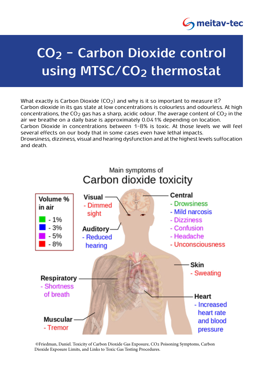

## **CO<sub>2</sub> - Carbon Dioxide control** using MTSC/CO<sub>2</sub> thermostat

What exactly is Carbon Dioxide (CO<sub>2</sub>) and why is it so important to measure it? Carbon dioxide in its gas state at low concentrations is colourless and odourless. At high concentrations, the CO<sub>2</sub> gas has a sharp, acidic odour. The average content of CO<sub>2</sub> in the air we breathe on a daily base is approximately 0.041% depending on location. Carbon Dioxide in concentrations between 1-8% is toxic. At those levels we will feel several effects on our body that in some cases even have lethal impacts. Drowsiness, dizziness, visual and hearing dysfunction and at the highest levels suffocation and death



©Friedman, Daniel. Toxicity of Carbon Dioxide Gas Exposure, CO2 Poisoning Symptoms, Carbon Dioxide Exposure Limits, and Links to Toxic Gas Testing Procedures.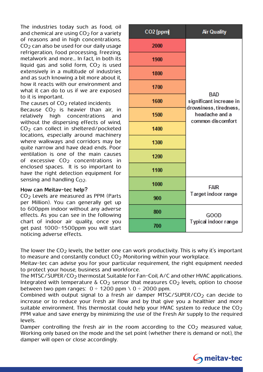The industries today such as food, oil and chemical are using  $CO<sub>2</sub>$  for a variety of reasons and in high concentrations.  $CO<sub>2</sub>$  can also be used for our daily usage refrigeration, food processing, freezing, metalwork and more... In fact, in both its liquid gas and solid form,  $CO<sub>2</sub>$  is used extensively in a multitude of industries and as such knowing a bit more about it. how it reacts with our environment and what it can do to us if we are exposed to it is important.

The causes of  $CO<sub>2</sub>$  related incidents

Because  $CO<sub>2</sub>$  is heavier than air, in relatively high concentrations and without the dispersing effects of wind,  $CO<sub>2</sub>$  can collect in sheltered/pocketed locations, especially around machinery where walkways and corridors may be quite narrow and have dead ends. Poor ventilation is one of the main causes of excessive  $CO<sub>2</sub>$  concentrations in enclosed spaces. It is so important to have the right detection equipment for sensing and handling  $C_{Q2}$ .

## **How can Meitav-tec help?**

 $CO<sub>2</sub>$  Levels are measured as PPM (Parts per Million). You can generally get up to 600ppm indoor without any adverse effects. As you can see in the following chart of indoor air quality, once you get past 1000-1500 ppm you will start noticing adverse effects.

| CO2 [ppm] | <b>Air Quality</b>                                                                                     |
|-----------|--------------------------------------------------------------------------------------------------------|
| 2000      | <b>BAD</b><br>significant increase in<br>drowsiness, tiredness,<br>headache and a<br>common discomfort |
| 1900      |                                                                                                        |
| 1800      |                                                                                                        |
| 1700      |                                                                                                        |
| 1600      |                                                                                                        |
| 1500      |                                                                                                        |
| 1400      |                                                                                                        |
| 1300      |                                                                                                        |
| 1200      |                                                                                                        |
| 1100      |                                                                                                        |
| 1000      | <b>FAIR</b><br>Target indoor range                                                                     |
| 900       |                                                                                                        |
| 800       | GOOD<br>Typical indoor range                                                                           |
| 700       |                                                                                                        |

The lower the  $CO<sub>2</sub>$  levels, the better one can work productivity. This is why it's important to measure and constantly conduct  $CO<sub>2</sub>$  Monitoring within your workplace.

Meitav-tec can advise you for your particular requirement, the right equipment needed to protect your house, business and workforce.

The MTSC/SUPER/CO<sub>2</sub> thermostat Suitable for Fan-Coil, A/C and other HVAC applications. Integrated with temperature &  $CO<sub>2</sub>$  sensor that measures  $CO<sub>2</sub>$  levels, option to choose between two ppm ranges:  $0 \div 1200$  ppm  $\setminus 0 \div 2000$  ppm.

Combined with output signal to a fresh air damper MTSC/SUPER/CO<sub>2</sub> can decide to increase or to reduce your fresh air flow and by that give you a healthier and more suitable environment. This thermostat could help your HVAC system to reduce the  $CO<sub>2</sub>$ PPM value and save energy by minimizing the use of the Fresh Air supply to the required levels.

Damper controlling the fresh air in the room according to the  $CO<sub>2</sub>$  measured value, Working only based on the mode and the set point (whether there is demand or not), the damper will open or close accordingly.